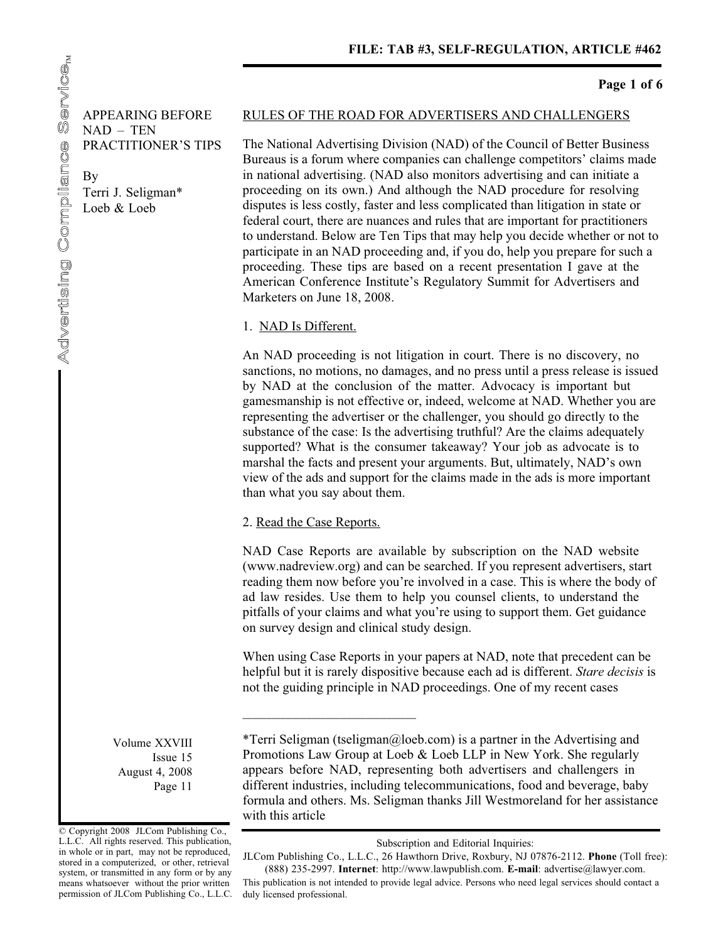**Page 1 of 6** 

APPEARING BEFORE NAD – TEN PRACTITIONER'S TIPS

By Terri J. Seligman\* Loeb & Loeb

#### RULES OF THE ROAD FOR ADVERTISERS AND CHALLENGERS

The National Advertising Division (NAD) of the Council of Better Business Bureaus is a forum where companies can challenge competitors' claims made in national advertising. (NAD also monitors advertising and can initiate a proceeding on its own.) And although the NAD procedure for resolving disputes is less costly, faster and less complicated than litigation in state or federal court, there are nuances and rules that are important for practitioners to understand. Below are Ten Tips that may help you decide whether or not to participate in an NAD proceeding and, if you do, help you prepare for such a proceeding. These tips are based on a recent presentation I gave at the American Conference Institute's Regulatory Summit for Advertisers and Marketers on June 18, 2008.

#### 1. NAD Is Different.

An NAD proceeding is not litigation in court. There is no discovery, no sanctions, no motions, no damages, and no press until a press release is issued by NAD at the conclusion of the matter. Advocacy is important but gamesmanship is not effective or, indeed, welcome at NAD. Whether you are representing the advertiser or the challenger, you should go directly to the substance of the case: Is the advertising truthful? Are the claims adequately supported? What is the consumer takeaway? Your job as advocate is to marshal the facts and present your arguments. But, ultimately, NAD's own view of the ads and support for the claims made in the ads is more important than what you say about them.

#### 2. Read the Case Reports.

 $\_$ 

NAD Case Reports are available by subscription on the NAD website (www.nadreview.org) and can be searched. If you represent advertisers, start reading them now before you're involved in a case. This is where the body of ad law resides. Use them to help you counsel clients, to understand the pitfalls of your claims and what you're using to support them. Get guidance on survey design and clinical study design.

When using Case Reports in your papers at NAD, note that precedent can be helpful but it is rarely dispositive because each ad is different. *Stare decisis* is not the guiding principle in NAD proceedings. One of my recent cases

Volume XXVIII Issue 15 August 4, 2008 Page 11

\*Terri Seligman (tseligman@loeb.com) is a partner in the Advertising and Promotions Law Group at Loeb & Loeb LLP in New York. She regularly appears before NAD, representing both advertisers and challengers in different industries, including telecommunications, food and beverage, baby formula and others. Ms. Seligman thanks Jill Westmoreland for her assistance with this article

© Copyright 2008 JLCom Publishing Co., L.L.C. All rights reserved. This publication, in whole or in part, may not be reproduced, stored in a computerized, or other, retrieval system, or transmitted in any form or by any means whatsoever without the prior written permission of JLCom Publishing Co., L.L.C.

Subscription and Editorial Inquiries:

JLCom Publishing Co., L.L.C., 26 Hawthorn Drive, Roxbury, NJ 07876-2112. **Phone** (Toll free): (888) 235-2997. **Internet** : http://www.lawpublish.com. **E-mail** : advertise@lawyer.com.

This publication is not intended to provide legal advice. Persons who need legal services should contact a duly licensed professional.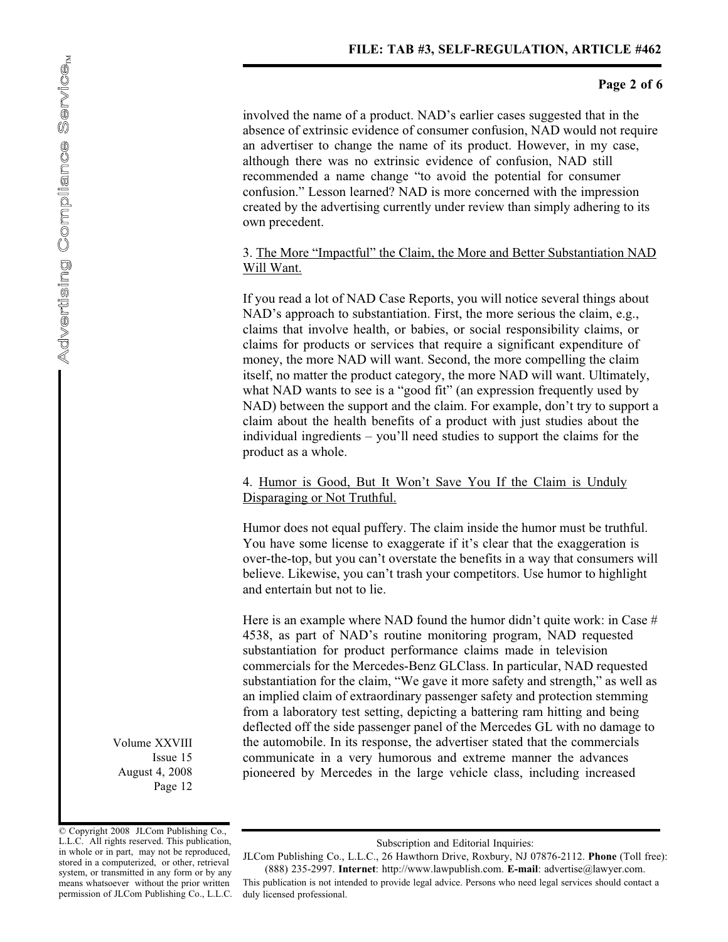involved the name of a product. NAD's earlier cases suggested that in the absence of extrinsic evidence of consumer confusion, NAD would not require an advertiser to change the name of its product. However, in my case, although there was no extrinsic evidence of confusion, NAD still recommended a name change "to avoid the potential for consumer confusion." Lesson learned? NAD is more concerned with the impression created by the advertising currently under review than simply adhering to its own precedent.

## 3. The More "Impactful" the Claim, the More and Better Substantiation NAD Will Want.

If you read a lot of NAD Case Reports, you will notice several things about NAD's approach to substantiation. First, the more serious the claim, e.g., claims that involve health, or babies, or social responsibility claims, or claims for products or services that require a significant expenditure of money, the more NAD will want. Second, the more compelling the claim itself, no matter the product category, the more NAD will want. Ultimately, what NAD wants to see is a "good fit" (an expression frequently used by NAD) between the support and the claim. For example, don't try to support a claim about the health benefits of a product with just studies about the individual ingredients – you'll need studies to support the claims for the product as a whole.

## 4. Humor is Good, But It Won't Save You If the Claim is Unduly Disparaging or Not Truthful.

Humor does not equal puffery. The claim inside the humor must be truthful. You have some license to exaggerate if it's clear that the exaggeration is over-the-top, but you can't overstate the benefits in a way that consumers will believe. Likewise, you can't trash your competitors. Use humor to highlight and entertain but not to lie.

Here is an example where NAD found the humor didn't quite work: in Case  $#$ 4538, as part of NAD's routine monitoring program, NAD requested substantiation for product performance claims made in television commercials for the Mercedes-Benz GLClass. In particular, NAD requested substantiation for the claim, "We gave it more safety and strength," as well as an implied claim of extraordinary passenger safety and protection stemming from a laboratory test setting, depicting a battering ram hitting and being deflected off the side passenger panel of the Mercedes GL with no damage to the automobile. In its response, the advertiser stated that the commercials communicate in a very humorous and extreme manner the advances pioneered by Mercedes in the large vehicle class, including increased

Volume XXVIII Issue 15 August 4, 2008 Page 12

<sup>©</sup> Copyright 2008 JLCom Publishing Co., L.L.C. All rights reserved. This publication, in whole or in part, may not be reproduced, stored in a computerized, or other, retrieval system, or transmitted in any form or by any means whatsoever without the prior written permission of JLCom Publishing Co., L.L.C.

Subscription and Editorial Inquiries:

JLCom Publishing Co., L.L.C., 26 Hawthorn Drive, Roxbury, NJ 07876-2112. **Phone** (Toll free): (888) 235-2997. **Internet** : http://www.lawpublish.com. **E-mail** : advertise@lawyer.com.

This publication is not intended to provide legal advice. Persons who need legal services should contact a duly licensed professional.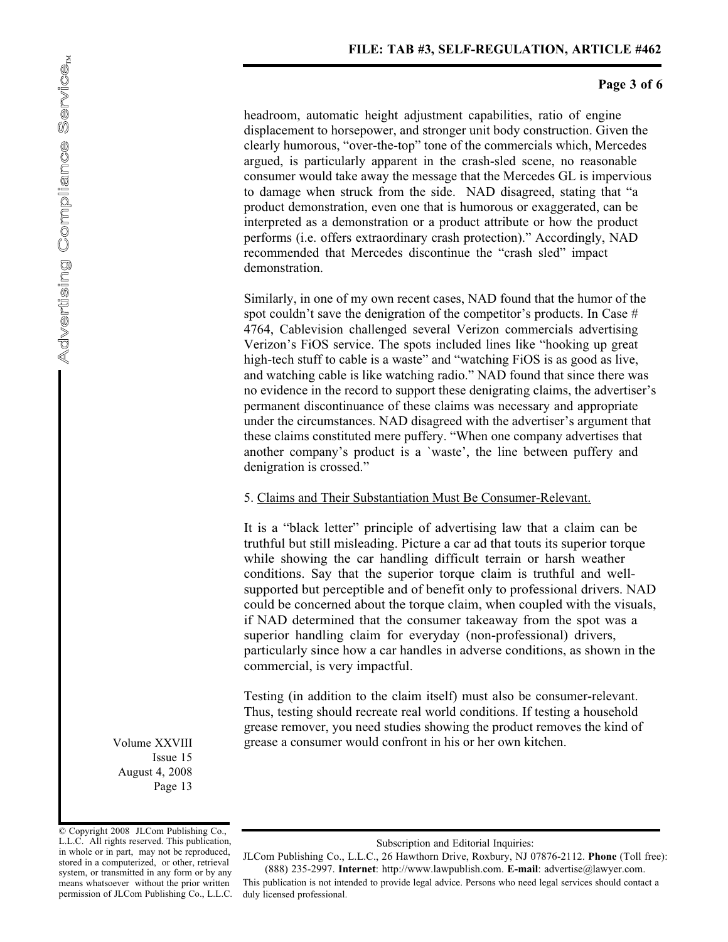# **Page 3 of 6**

headroom, automatic height adjustment capabilities, ratio of engine displacement to horsepower, and stronger unit body construction. Given the clearly humorous, "over-the-top" tone of the commercials which, Mercedes argued, is particularly apparent in the crash-sled scene, no reasonable consumer would take away the message that the Mercedes GL is impervious to damage when struck from the side. NAD disagreed, stating that "a product demonstration, even one that is humorous or exaggerated, can be interpreted as a demonstration or a product attribute or how the product performs (i.e. offers extraordinary crash protection)." Accordingly, NAD recommended that Mercedes discontinue the "crash sled" impact demonstration.

Similarly, in one of my own recent cases, NAD found that the humor of the spot couldn't save the denigration of the competitor's products. In Case # 4764, Cablevision challenged several Verizon commercials advertising Verizon's FiOS service. The spots included lines like "hooking up great high-tech stuff to cable is a waste" and "watching FiOS is as good as live, and watching cable is like watching radio." NAD found that since there was no evidence in the record to support these denigrating claims, the advertiser's permanent discontinuance of these claims was necessary and appropriate under the circumstances. NAD disagreed with the advertiser's argument that these claims constituted mere puffery. "When one company advertises that another company's product is a `waste', the line between puffery and denigration is crossed."

## 5. Claims and Their Substantiation Must Be Consumer-Relevant.

It is a "black letter" principle of advertising law that a claim can be truthful but still misleading. Picture a car ad that touts its superior torque while showing the car handling difficult terrain or harsh weather conditions. Say that the superior torque claim is truthful and wellsupported but perceptible and of benefit only to professional drivers. NAD could be concerned about the torque claim, when coupled with the visuals, if NAD determined that the consumer takeaway from the spot was a superior handling claim for everyday (non-professional) drivers, particularly since how a car handles in adverse conditions, as shown in the commercial, is very impactful.

Testing (in addition to the claim itself) must also be consumer-relevant. Thus, testing should recreate real world conditions. If testing a household grease remover, you need studies showing the product removes the kind of grease a consumer would confront in his or her own kitchen.

Volume XXVIII Issue 15 August 4, 2008 Page 13

© Copyright 2008 JLCom Publishing Co., L.L.C. All rights reserved. This publication, in whole or in part, may not be reproduced, stored in a computerized, or other, retrieval system, or transmitted in any form or by any means whatsoever without the prior written permission of JLCom Publishing Co., L.L.C.

Subscription and Editorial Inquiries:

JLCom Publishing Co., L.L.C., 26 Hawthorn Drive, Roxbury, NJ 07876-2112. **Phone** (Toll free): (888) 235-2997. **Internet** : http://www.lawpublish.com. **E-mail** : advertise@lawyer.com.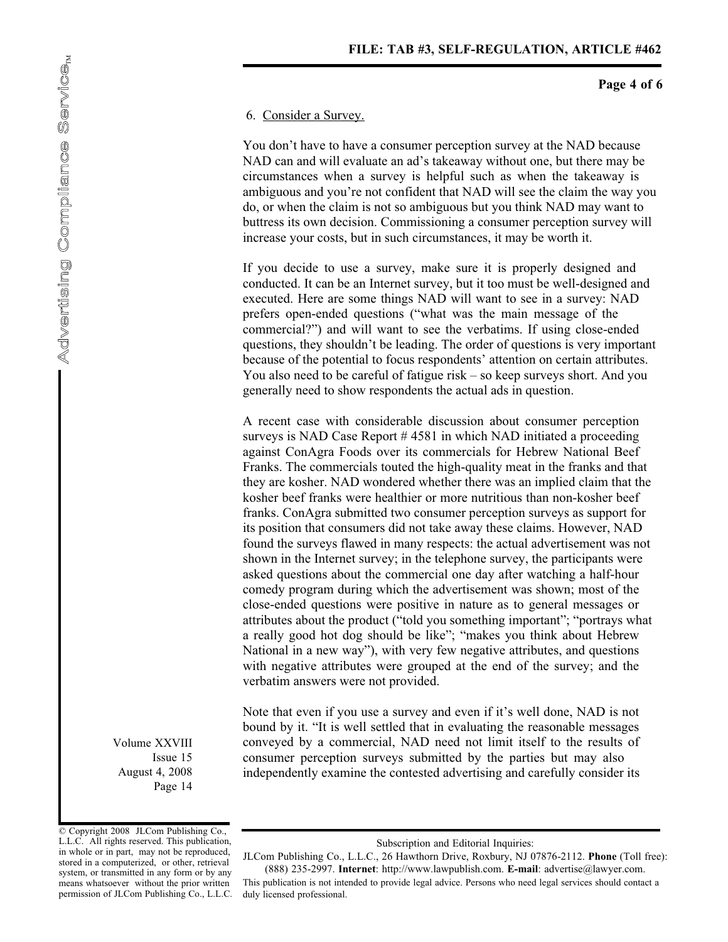#### **Page 4 of 6**

#### 6. Consider a Survey.

You don't have to have a consumer perception survey at the NAD because NAD can and will evaluate an ad's takeaway without one, but there may be circumstances when a survey is helpful such as when the takeaway is ambiguous and you're not confident that NAD will see the claim the way you do, or when the claim is not so ambiguous but you think NAD may want to buttress its own decision. Commissioning a consumer perception survey will increase your costs, but in such circumstances, it may be worth it.

If you decide to use a survey, make sure it is properly designed and conducted. It can be an Internet survey, but it too must be well-designed and executed. Here are some things NAD will want to see in a survey: NAD prefers open-ended questions ("what was the main message of the commercial?") and will want to see the verbatims. If using close-ended questions, they shouldn't be leading. The order of questions is very important because of the potential to focus respondents' attention on certain attributes. You also need to be careful of fatigue risk – so keep surveys short. And you generally need to show respondents the actual ads in question.

A recent case with considerable discussion about consumer perception surveys is NAD Case Report #4581 in which NAD initiated a proceeding against ConAgra Foods over its commercials for Hebrew National Beef Franks. The commercials touted the high-quality meat in the franks and that they are kosher. NAD wondered whether there was an implied claim that the kosher beef franks were healthier or more nutritious than non-kosher beef franks. ConAgra submitted two consumer perception surveys as support for its position that consumers did not take away these claims. However, NAD found the surveys flawed in many respects: the actual advertisement was not shown in the Internet survey; in the telephone survey, the participants were asked questions about the commercial one day after watching a half-hour comedy program during which the advertisement was shown; most of the close-ended questions were positive in nature as to general messages or attributes about the product ("told you something important"; "portrays what a really good hot dog should be like"; "makes you think about Hebrew National in a new way"), with very few negative attributes, and questions with negative attributes were grouped at the end of the survey; and the verbatim answers were not provided.

Note that even if you use a survey and even if it's well done, NAD is not bound by it. "It is well settled that in evaluating the reasonable messages conveyed by a commercial, NAD need not limit itself to the results of consumer perception surveys submitted by the parties but may also independently examine the contested advertising and carefully consider its

Volume XXVIII Issue 15 August 4, 2008 Page 14

<sup>©</sup> Copyright 2008 JLCom Publishing Co., L.L.C. All rights reserved. This publication, in whole or in part, may not be reproduced, stored in a computerized, or other, retrieval system, or transmitted in any form or by any means whatsoever without the prior written permission of JLCom Publishing Co., L.L.C.

Subscription and Editorial Inquiries:

JLCom Publishing Co., L.L.C., 26 Hawthorn Drive, Roxbury, NJ 07876-2112. **Phone** (Toll free): (888) 235-2997. **Internet** : http://www.lawpublish.com. **E-mail** : advertise@lawyer.com.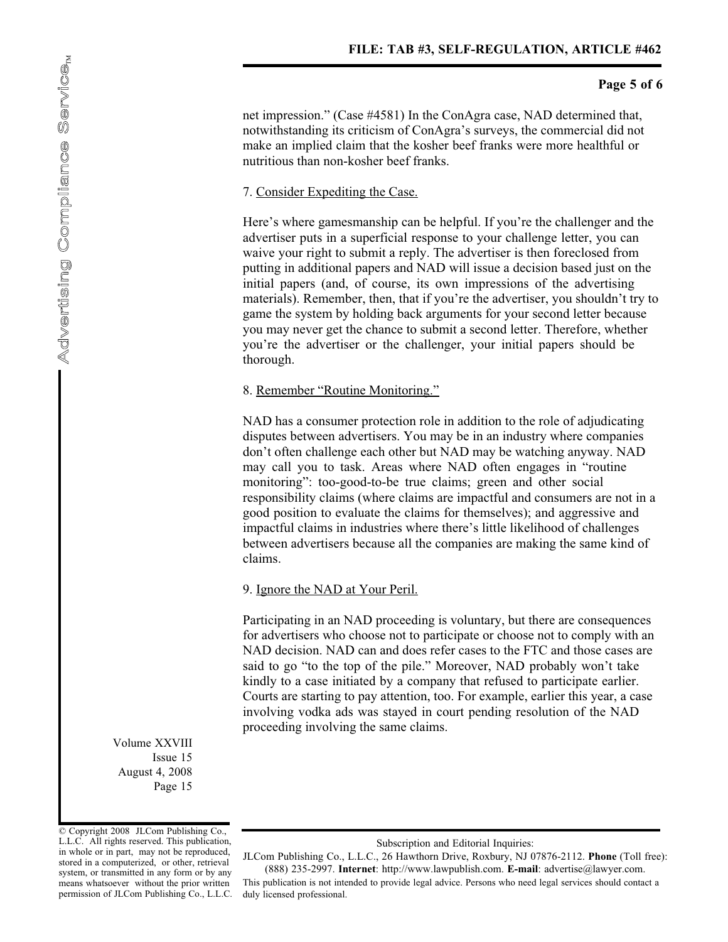# **Page 5 of 6**

net impression." (Case #4581) In the ConAgra case, NAD determined that, notwithstanding its criticism of ConAgra's surveys, the commercial did not make an implied claim that the kosher beef franks were more healthful or nutritious than non-kosher beef franks.

#### 7. Consider Expediting the Case.

Here's where gamesmanship can be helpful. If you're the challenger and the advertiser puts in a superficial response to your challenge letter, you can waive your right to submit a reply. The advertiser is then foreclosed from putting in additional papers and NAD will issue a decision based just on the initial papers (and, of course, its own impressions of the advertising materials). Remember, then, that if you're the advertiser, you shouldn't try to game the system by holding back arguments for your second letter because you may never get the chance to submit a second letter. Therefore, whether you're the advertiser or the challenger, your initial papers should be thorough.

#### 8. Remember "Routine Monitoring."

NAD has a consumer protection role in addition to the role of adjudicating disputes between advertisers. You may be in an industry where companies don't often challenge each other but NAD may be watching anyway. NAD may call you to task. Areas where NAD often engages in "routine monitoring": too-good-to-be true claims; green and other social responsibility claims (where claims are impactful and consumers are not in a good position to evaluate the claims for themselves); and aggressive and impactful claims in industries where there's little likelihood of challenges between advertisers because all the companies are making the same kind of claims.

## 9. Ignore the NAD at Your Peril.

Participating in an NAD proceeding is voluntary, but there are consequences for advertisers who choose not to participate or choose not to comply with an NAD decision. NAD can and does refer cases to the FTC and those cases are said to go "to the top of the pile." Moreover, NAD probably won't take kindly to a case initiated by a company that refused to participate earlier. Courts are starting to pay attention, too. For example, earlier this year, a case involving vodka ads was stayed in court pending resolution of the NAD proceeding involving the same claims.

Volume XXVIII Issue 15 August 4, 2008 Page 15

© Copyright 2008 JLCom Publishing Co., L.L.C. All rights reserved. This publication, in whole or in part, may not be reproduced, stored in a computerized, or other, retrieval system, or transmitted in any form or by any means whatsoever without the prior written permission of JLCom Publishing Co., L.L.C.

Subscription and Editorial Inquiries:

JLCom Publishing Co., L.L.C., 26 Hawthorn Drive, Roxbury, NJ 07876-2112. **Phone** (Toll free): (888) 235-2997. **Internet** : http://www.lawpublish.com. **E-mail** : advertise@lawyer.com.